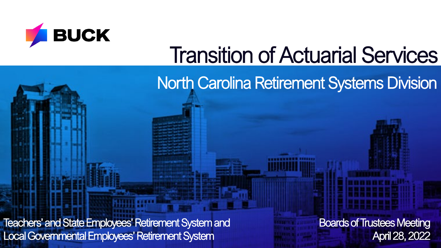

# Transition of Actuarial Services

North Carolina Retirement Systems Division

Teachers' and State Employees' Retirement System and Local Governmental Employees' Retirement System

Boards of Trustees Meeting April 28, 2022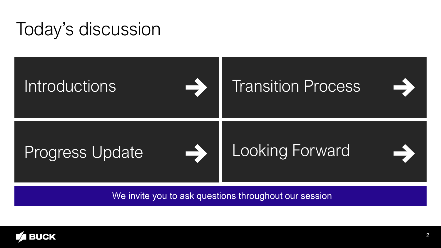#### Today's discussion



We invite you to ask questions throughout our session

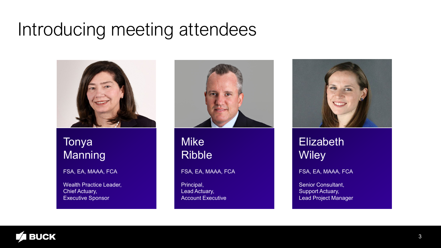#### <span id="page-2-0"></span>Introducing meeting attendees



#### Tonya Manning

#### FSA, EA, MAAA, FCA

Wealth Practice Leader, Chief Actuary, Executive Sponsor



**Mike** Ribble

FSA, EA, MAAA, FCA

Principal, Lead Actuary, Account Executive



#### Elizabeth **Wiley**

FSA, EA, MAAA, FCA

Senior Consultant, Support Actuary, Lead Project Manager

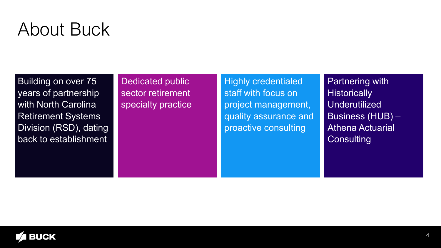#### About Buck

Building on over 75 years of partnership with North Carolina Retirement Systems Division (RSD), dating back to establishment

Dedicated public sector retirement specialty practice

Highly credentialed staff with focus on project management, quality assurance and proactive consulting

Partnering with **Historically Underutilized** Business (HUB) – Athena Actuarial **Consulting** 

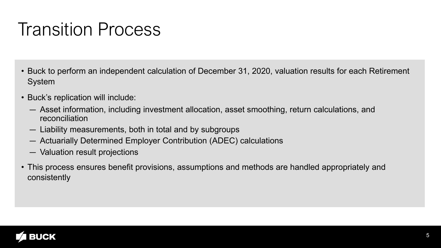#### Transition Process

- Buck to perform an independent calculation of December 31, 2020, valuation results for each Retirement System
- Buck's replication will include:
	- Asset information, including investment allocation, asset smoothing, return calculations, and reconciliation
	- Liability measurements, both in total and by subgroups
	- Actuarially Determined Employer Contribution (ADEC) calculations
	- Valuation result projections
- This process ensures benefit provisions, assumptions and methods are handled appropriately and consistently

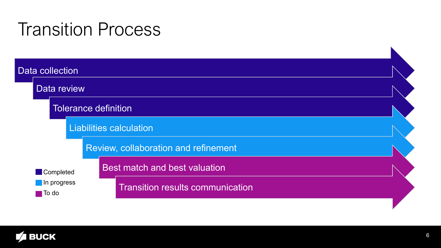#### Transition Process



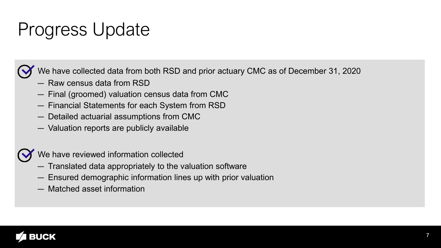## Progress Update



We have collected data from both RSD and prior actuary CMC as of December 31, 2020

- Raw census data from RSD
- Final (groomed) valuation census data from CMC
- Financial Statements for each System from RSD
- Detailed actuarial assumptions from CMC
- Valuation reports are publicly available



We have reviewed information collected

- Translated data appropriately to the valuation software
- Ensured demographic information lines up with prior valuation
- Matched asset information

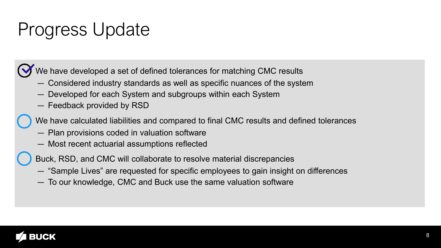## Progress Update

We have developed a set of defined tolerances for matching CMC results

- Considered industry standards as well as specific nuances of the system
- Developed for each System and subgroups within each System
- Feedback provided by RSD

We have calculated liabilities and compared to final CMC results and defined tolerances

- Plan provisions coded in valuation software
- Most recent actuarial assumptions reflected

Buck, RSD, and CMC will collaborate to resolve material discrepancies

- "Sample Lives" are requested for specific employees to gain insight on differences
- To our knowledge, CMC and Buck use the same valuation software

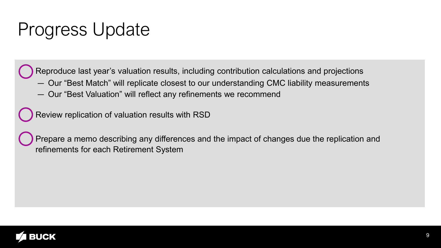### Progress Update

Reproduce last year's valuation results, including contribution calculations and projections

- Our "Best Match" will replicate closest to our understanding CMC liability measurements
- Our "Best Valuation" will reflect any refinements we recommend

Review replication of valuation results with RSD

Prepare a memo describing any differences and the impact of changes due the replication and refinements for each Retirement System

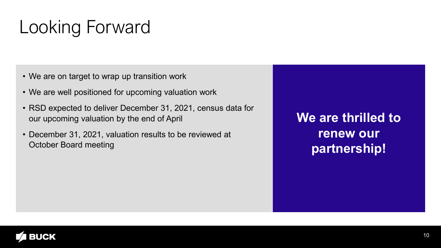## Looking Forward

- We are on target to wrap up transition work
- We are well positioned for upcoming valuation work
- RSD expected to deliver December 31, 2021, census data for our upcoming valuation by the end of April
- December 31, 2021, valuation results to be reviewed at October Board meeting

**We are thrilled to renew our partnership!**